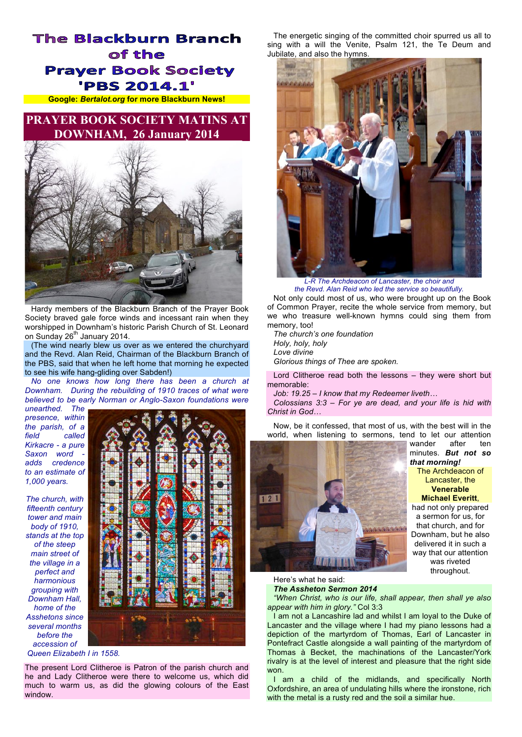## **The Blackburn Branch** of the **Prayer Book Society 'PBS 2014.1'**

**Google:** *Bertalot.org* **for more Blackburn News!**

## **PRAYER BOOK SOCIETY MATINS AT DOWNHAM, 26 January 2014**



Hardy members of the Blackburn Branch of the Prayer Book Society braved gale force winds and incessant rain when they worshipped in Downham's historic Parish Church of St. Leonard on Sunday 26<sup>th</sup> January 2014.

(The wind nearly blew us over as we entered the churchyard and the Revd. Alan Reid, Chairman of the Blackburn Branch of the PBS, said that when he left home that morning he expected to see his wife hang-gliding over Sabden!)

*No one knows how long there has been a church at Downham. During the rebuilding of 1910 traces of what were believed to be early Norman or Anglo-Saxon foundations were* 

*unearthed. The presence, within the parish, of a field called Kirkacre - a pure*  Saxon word *adds credence to an estimate of 1,000 years.*

*The church, with fifteenth century tower and main body of 1910, stands at the top of the steep main street of the village in a perfect and harmonious grouping with Downham Hall, home of the Asshetons since several months before the accession of Queen Elizabeth I in 1558.*



The present Lord Clitheroe is Patron of the parish church and he and Lady Clitheroe were there to welcome us, which did much to warm us, as did the glowing colours of the East window.

The energetic singing of the committed choir spurred us all to sing with a will the Venite, Psalm 121, the Te Deum and Jubilate, and also the hymns.



*L-R The Archdeacon of Lancaster, the choir and the Revd. Alan Reid who led the service so beautifully.*

Not only could most of us, who were brought up on the Book of Common Prayer, recite the whole service from memory, but we who treasure well-known hymns could sing them from memory, too!

*The church's one foundation Holy, holy, holy Love divine Glorious things of Thee are spoken.*

Lord Clitheroe read both the lessons – they were short but memorable:

*Job: 19.25 – I know that my Redeemer liveth…*

*Colossians 3:3 – For ye are dead, and your life is hid with Christ in God…*

Now, be it confessed, that most of us, with the best will in the world, when listening to sermons, tend to let our attention



wander after ten minutes. *But not so that morning!*

The Archdeacon of Lancaster, the **Venerable Michael Everitt**,

had not only prepared a sermon for us, for that church, and for Downham, but he also delivered it in such a way that our attention was riveted throughout.

Here's what he said:

## *The Assheton Sermon 2014*

*"When Christ, who is our life, shall appear, then shall ye also appear with him in glory."* Col 3:3

I am not a Lancashire lad and whilst I am loyal to the Duke of Lancaster and the village where I had my piano lessons had a depiction of the martyrdom of Thomas, Earl of Lancaster in Pontefract Castle alongside a wall painting of the martyrdom of Thomas à Becket, the machinations of the Lancaster/York rivalry is at the level of interest and pleasure that the right side won.

I am a child of the midlands, and specifically North Oxfordshire, an area of undulating hills where the ironstone, rich with the metal is a rusty red and the soil a similar hue.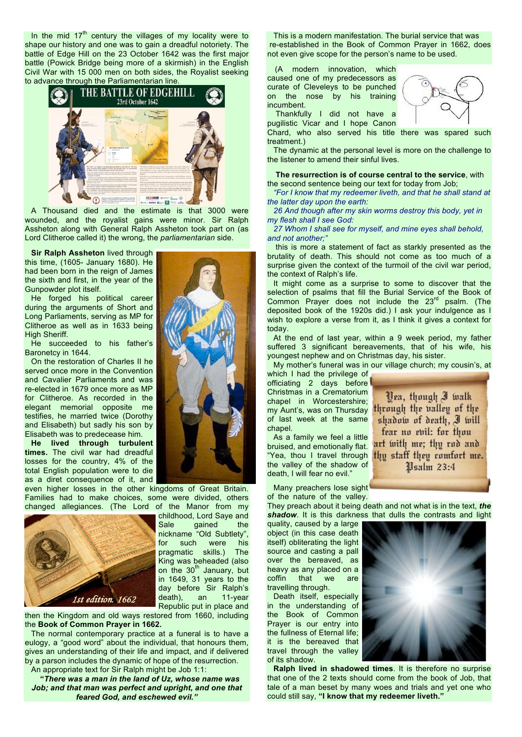In the mid  $17<sup>th</sup>$  century the villages of my locality were to shape our history and one was to gain a dreadful notoriety. The battle of Edge Hill on the 23 October 1642 was the first major battle (Powick Bridge being more of a skirmish) in the English Civil War with 15 000 men on both sides, the Royalist seeking to advance through the Parliamentarian line.



A Thousand died and the estimate is that 3000 were wounded, and the royalist gains were minor. Sir Ralph Assheton along with General Ralph Assheton took part on (as Lord Clitheroe called it) the wrong, the *parliamentarian* side.

**Sir Ralph Assheton** lived through this time, (1605- January 1680). He had been born in the reign of James the sixth and first, in the year of the Gunpowder plot itself.

He forged his political career during the arguments of Short and Long Parliaments, serving as MP for Clitheroe as well as in 1633 being High Sheriff.

He succeeded to his father's Baronetcy in 1644.

On the restoration of Charles II he served once more in the Convention and Cavalier Parliaments and was re-elected in 1679 once more as MP for Clitheroe. As recorded in the elegant memorial opposite me testifies, he married twice (Dorothy and Elisabeth) but sadly his son by Elisabeth was to predecease him.

**He lived through turbulent times.** The civil war had dreadful losses for the country, 4% of the total English population were to die as a diret consequence of it, and

even higher losses in the other kingdoms of Great Britain. Families had to make choices, some were divided, others changed allegiances. (The Lord of the Manor from my



childhood, Lord Saye and Sale gained the nickname "Old Subtlety", for such were his pragmatic skills.) The King was beheaded (also on the  $30<sup>th</sup>$  January, but in 1649, 31 years to the day before Sir Ralph's death), an 11-year Republic put in place and

then the Kingdom and old ways restored from 1660, including the **Book of Common Prayer in 1662.**

The normal contemporary practice at a funeral is to have a eulogy, a "good word" about the individual, that honours them, gives an understanding of their life and impact, and if delivered by a parson includes the dynamic of hope of the resurrection.

An appropriate text for Sir Ralph might be Job 1:1:

**"***There was a man in the land of Uz, whose name was Job; and that man was perfect and upright, and one that feared God, and eschewed evil."*

This is a modern manifestation. The burial service that was re-established in the Book of Common Prayer in 1662, does not even give scope for the person's name to be used.

(A modern innovation, which caused one of my predecessors as curate of Cleveleys to be punched on the nose by his training incumbent. Thankfully I did not have a

pugilistic Vicar and I hope Canon



Chard, who also served his title there was spared such treatment.)

The dynamic at the personal level is more on the challenge to the listener to amend their sinful lives.

**The resurrection is of course central to the service**, with the second sentence being our text for today from Job;

*"For I know that my redeemer liveth, and that he shall stand at the latter day upon the earth:*

*26 And though after my skin worms destroy this body, yet in my flesh shall I see God:*

*27 Whom I shall see for myself, and mine eyes shall behold, and not another;"*

this is more a statement of fact as starkly presented as the brutality of death. This should not come as too much of a surprise given the context of the turmoil of the civil war period, the context of Ralph's life.

It might come as a surprise to some to discover that the selection of psalms that fill the Burial Service of the Book of Common Prayer does not include the 23<sup>rd</sup> psalm. (The deposited book of the 1920s did.) I ask your indulgence as I wish to explore a verse from it, as I think it gives a context for today.

At the end of last year, within a 9 week period, my father suffered 3 significant bereavements, that of his wife, his youngest nephew and on Christmas day, his sister.

My mother's funeral was in our village church; my cousin's, at

which I had the privilege of officiating 2 days before Christmas in a Crematorium chapel in Worcestershire; my Aunt's, was on Thursday of last week at the same chapel.

As a family we feel a little bruised, and emotionally flat. "Yea, thou I travel through the valley of the shadow of death, I will fear no evil."

Many preachers lose sight of the nature of the valley.

They preach about it being death and not what is in the text, *the shadow*. It is this darkness that dulls the contrasts and light

quality, caused by a large object (in this case death itself) obliterating the light source and casting a pall over the bereaved, as heavy as any placed on a coffin that we are travelling through.

Death itself, especially in the understanding of the Book of Common Prayer is our entry into the fullness of Eternal life; it is the bereaved that travel through the valley of its shadow.

**Ralph lived in shadowed times**. It is therefore no surprise that one of the 2 texts should come from the book of Job, that tale of a man beset by many woes and trials and yet one who could still say, **"I know that my redeemer liveth."**



Yea, though I walk through the valley of the shadow of death, I will